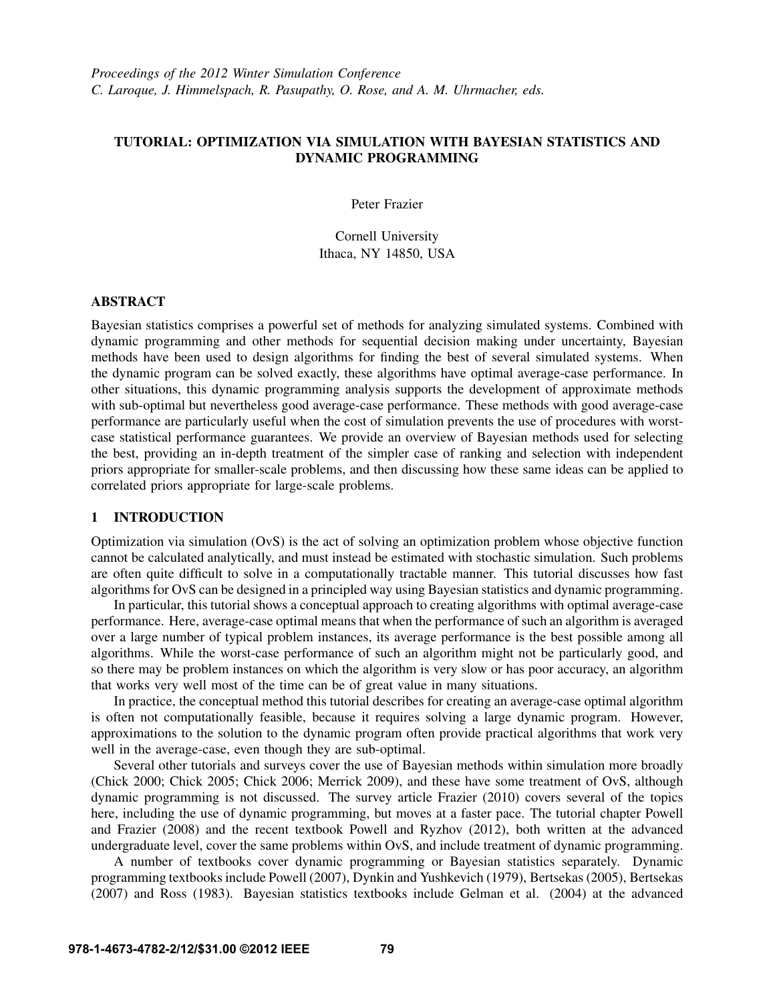# TUTORIAL: OPTIMIZATION VIA SIMULATION WITH BAYESIAN STATISTICS AND DYNAMIC PROGRAMMING

Peter Frazier

Cornell University Ithaca, NY 14850, USA

# ABSTRACT

Bayesian statistics comprises a powerful set of methods for analyzing simulated systems. Combined with dynamic programming and other methods for sequential decision making under uncertainty, Bayesian methods have been used to design algorithms for finding the best of several simulated systems. When the dynamic program can be solved exactly, these algorithms have optimal average-case performance. In other situations, this dynamic programming analysis supports the development of approximate methods with sub-optimal but nevertheless good average-case performance. These methods with good average-case performance are particularly useful when the cost of simulation prevents the use of procedures with worstcase statistical performance guarantees. We provide an overview of Bayesian methods used for selecting the best, providing an in-depth treatment of the simpler case of ranking and selection with independent priors appropriate for smaller-scale problems, and then discussing how these same ideas can be applied to correlated priors appropriate for large-scale problems.

# 1 INTRODUCTION

Optimization via simulation (OvS) is the act of solving an optimization problem whose objective function cannot be calculated analytically, and must instead be estimated with stochastic simulation. Such problems are often quite difficult to solve in a computationally tractable manner. This tutorial discusses how fast algorithms for OvS can be designed in a principled way using Bayesian statistics and dynamic programming.

In particular, this tutorial shows a conceptual approach to creating algorithms with optimal average-case performance. Here, average-case optimal means that when the performance of such an algorithm is averaged over a large number of typical problem instances, its average performance is the best possible among all algorithms. While the worst-case performance of such an algorithm might not be particularly good, and so there may be problem instances on which the algorithm is very slow or has poor accuracy, an algorithm that works very well most of the time can be of great value in many situations.

In practice, the conceptual method this tutorial describes for creating an average-case optimal algorithm is often not computationally feasible, because it requires solving a large dynamic program. However, approximations to the solution to the dynamic program often provide practical algorithms that work very well in the average-case, even though they are sub-optimal.

Several other tutorials and surveys cover the use of Bayesian methods within simulation more broadly (Chick 2000; Chick 2005; Chick 2006; Merrick 2009), and these have some treatment of OvS, although dynamic programming is not discussed. The survey article Frazier (2010) covers several of the topics here, including the use of dynamic programming, but moves at a faster pace. The tutorial chapter Powell and Frazier (2008) and the recent textbook Powell and Ryzhov (2012), both written at the advanced undergraduate level, cover the same problems within OvS, and include treatment of dynamic programming.

A number of textbooks cover dynamic programming or Bayesian statistics separately. Dynamic programming textbooks include Powell (2007), Dynkin and Yushkevich (1979), Bertsekas (2005), Bertsekas (2007) and Ross (1983). Bayesian statistics textbooks include Gelman et al. (2004) at the advanced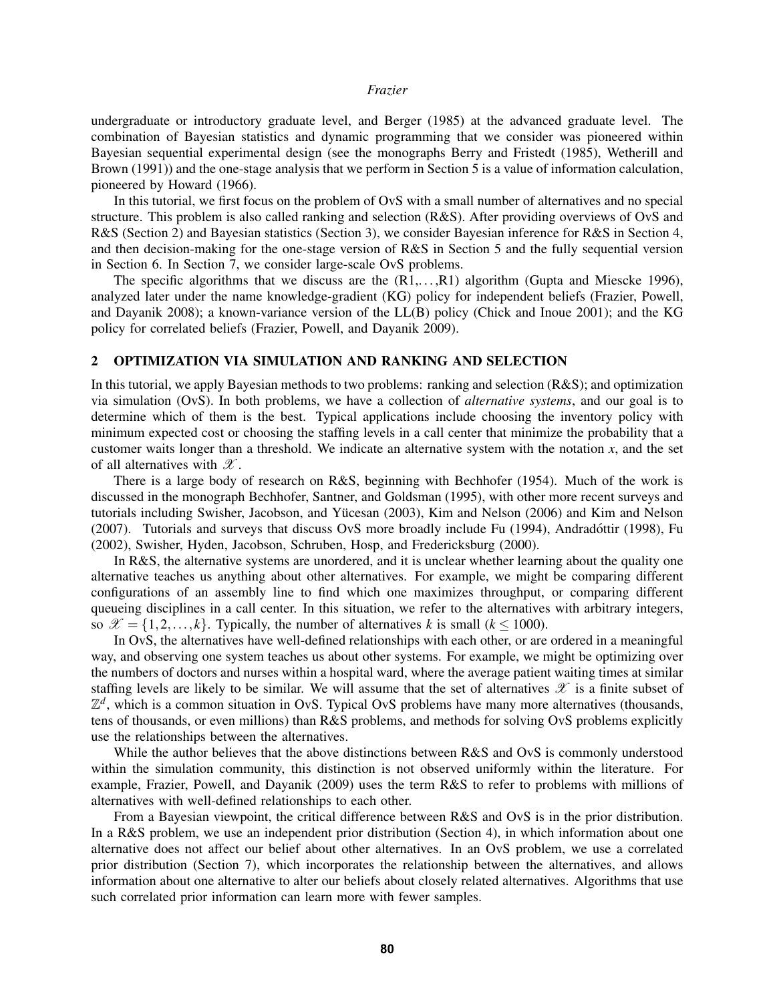undergraduate or introductory graduate level, and Berger (1985) at the advanced graduate level. The combination of Bayesian statistics and dynamic programming that we consider was pioneered within Bayesian sequential experimental design (see the monographs Berry and Fristedt (1985), Wetherill and Brown (1991)) and the one-stage analysis that we perform in Section 5 is a value of information calculation, pioneered by Howard (1966).

In this tutorial, we first focus on the problem of OvS with a small number of alternatives and no special structure. This problem is also called ranking and selection (R&S). After providing overviews of OvS and R&S (Section 2) and Bayesian statistics (Section 3), we consider Bayesian inference for R&S in Section 4, and then decision-making for the one-stage version of R&S in Section 5 and the fully sequential version in Section 6. In Section 7, we consider large-scale OvS problems.

The specific algorithms that we discuss are the  $(R1, \ldots, R1)$  algorithm (Gupta and Miescke 1996), analyzed later under the name knowledge-gradient (KG) policy for independent beliefs (Frazier, Powell, and Dayanik 2008); a known-variance version of the LL(B) policy (Chick and Inoue 2001); and the KG policy for correlated beliefs (Frazier, Powell, and Dayanik 2009).

## 2 OPTIMIZATION VIA SIMULATION AND RANKING AND SELECTION

In this tutorial, we apply Bayesian methods to two problems: ranking and selection (R&S); and optimization via simulation (OvS). In both problems, we have a collection of *alternative systems*, and our goal is to determine which of them is the best. Typical applications include choosing the inventory policy with minimum expected cost or choosing the staffing levels in a call center that minimize the probability that a customer waits longer than a threshold. We indicate an alternative system with the notation  $x$ , and the set of all alternatives with  $\mathscr{X}$ .

There is a large body of research on R&S, beginning with Bechhofer (1954). Much of the work is discussed in the monograph Bechhofer, Santner, and Goldsman (1995), with other more recent surveys and tutorials including Swisher, Jacobson, and Yücesan (2003), Kim and Nelson (2006) and Kim and Nelson  $(2007)$ . Tutorials and surveys that discuss OvS more broadly include Fu  $(1994)$ , Andradóttir  $(1998)$ , Fu (2002), Swisher, Hyden, Jacobson, Schruben, Hosp, and Fredericksburg (2000).

In R&S, the alternative systems are unordered, and it is unclear whether learning about the quality one alternative teaches us anything about other alternatives. For example, we might be comparing different configurations of an assembly line to find which one maximizes throughput, or comparing different queueing disciplines in a call center. In this situation, we refer to the alternatives with arbitrary integers, so  $\mathcal{X} = \{1, 2, ..., k\}$ . Typically, the number of alternatives *k* is small ( $k \le 1000$ ).

In OvS, the alternatives have well-defined relationships with each other, or are ordered in a meaningful way, and observing one system teaches us about other systems. For example, we might be optimizing over the numbers of doctors and nurses within a hospital ward, where the average patient waiting times at similar staffing levels are likely to be similar. We will assume that the set of alternatives  $\mathscr X$  is a finite subset of  $\mathbb{Z}^d$ , which is a common situation in OvS. Typical OvS problems have many more alternatives (thousands, tens of thousands, or even millions) than R&S problems, and methods for solving OvS problems explicitly use the relationships between the alternatives.

While the author believes that the above distinctions between R&S and OvS is commonly understood within the simulation community, this distinction is not observed uniformly within the literature. For example, Frazier, Powell, and Dayanik (2009) uses the term R&S to refer to problems with millions of alternatives with well-defined relationships to each other.

From a Bayesian viewpoint, the critical difference between R&S and OvS is in the prior distribution. In a R&S problem, we use an independent prior distribution (Section 4), in which information about one alternative does not affect our belief about other alternatives. In an OvS problem, we use a correlated prior distribution (Section 7), which incorporates the relationship between the alternatives, and allows information about one alternative to alter our beliefs about closely related alternatives. Algorithms that use such correlated prior information can learn more with fewer samples.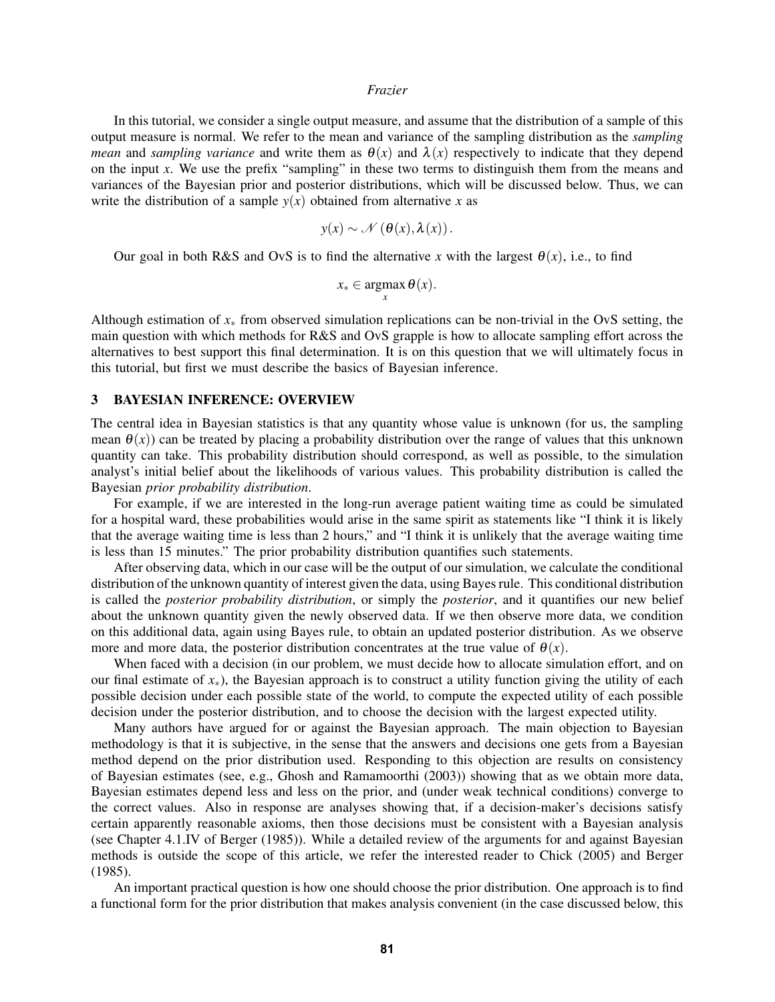In this tutorial, we consider a single output measure, and assume that the distribution of a sample of this output measure is normal. We refer to the mean and variance of the sampling distribution as the *sampling mean* and *sampling variance* and write them as  $\theta(x)$  and  $\lambda(x)$  respectively to indicate that they depend on the input *x*. We use the prefix "sampling" in these two terms to distinguish them from the means and variances of the Bayesian prior and posterior distributions, which will be discussed below. Thus, we can write the distribution of a sample  $y(x)$  obtained from alternative x as

$$
y(x) \sim \mathcal{N}(\theta(x), \lambda(x)).
$$

Our goal in both R&S and OvS is to find the alternative *x* with the largest  $\theta(x)$ , i.e., to find

$$
x_* \in \operatorname*{argmax}_x \theta(x).
$$

Although estimation of *x*<sup>∗</sup> from observed simulation replications can be non-trivial in the OvS setting, the main question with which methods for R&S and OvS grapple is how to allocate sampling effort across the alternatives to best support this final determination. It is on this question that we will ultimately focus in this tutorial, but first we must describe the basics of Bayesian inference.

# 3 BAYESIAN INFERENCE: OVERVIEW

The central idea in Bayesian statistics is that any quantity whose value is unknown (for us, the sampling mean  $\theta(x)$ ) can be treated by placing a probability distribution over the range of values that this unknown quantity can take. This probability distribution should correspond, as well as possible, to the simulation analyst's initial belief about the likelihoods of various values. This probability distribution is called the Bayesian *prior probability distribution*.

For example, if we are interested in the long-run average patient waiting time as could be simulated for a hospital ward, these probabilities would arise in the same spirit as statements like "I think it is likely that the average waiting time is less than 2 hours," and "I think it is unlikely that the average waiting time is less than 15 minutes." The prior probability distribution quantifies such statements.

After observing data, which in our case will be the output of our simulation, we calculate the conditional distribution of the unknown quantity of interest given the data, using Bayes rule. This conditional distribution is called the *posterior probability distribution*, or simply the *posterior*, and it quantifies our new belief about the unknown quantity given the newly observed data. If we then observe more data, we condition on this additional data, again using Bayes rule, to obtain an updated posterior distribution. As we observe more and more data, the posterior distribution concentrates at the true value of  $\theta(x)$ .

When faced with a decision (in our problem, we must decide how to allocate simulation effort, and on our final estimate of *x*∗), the Bayesian approach is to construct a utility function giving the utility of each possible decision under each possible state of the world, to compute the expected utility of each possible decision under the posterior distribution, and to choose the decision with the largest expected utility.

Many authors have argued for or against the Bayesian approach. The main objection to Bayesian methodology is that it is subjective, in the sense that the answers and decisions one gets from a Bayesian method depend on the prior distribution used. Responding to this objection are results on consistency of Bayesian estimates (see, e.g., Ghosh and Ramamoorthi (2003)) showing that as we obtain more data, Bayesian estimates depend less and less on the prior, and (under weak technical conditions) converge to the correct values. Also in response are analyses showing that, if a decision-maker's decisions satisfy certain apparently reasonable axioms, then those decisions must be consistent with a Bayesian analysis (see Chapter 4.1.IV of Berger (1985)). While a detailed review of the arguments for and against Bayesian methods is outside the scope of this article, we refer the interested reader to Chick (2005) and Berger (1985).

An important practical question is how one should choose the prior distribution. One approach is to find a functional form for the prior distribution that makes analysis convenient (in the case discussed below, this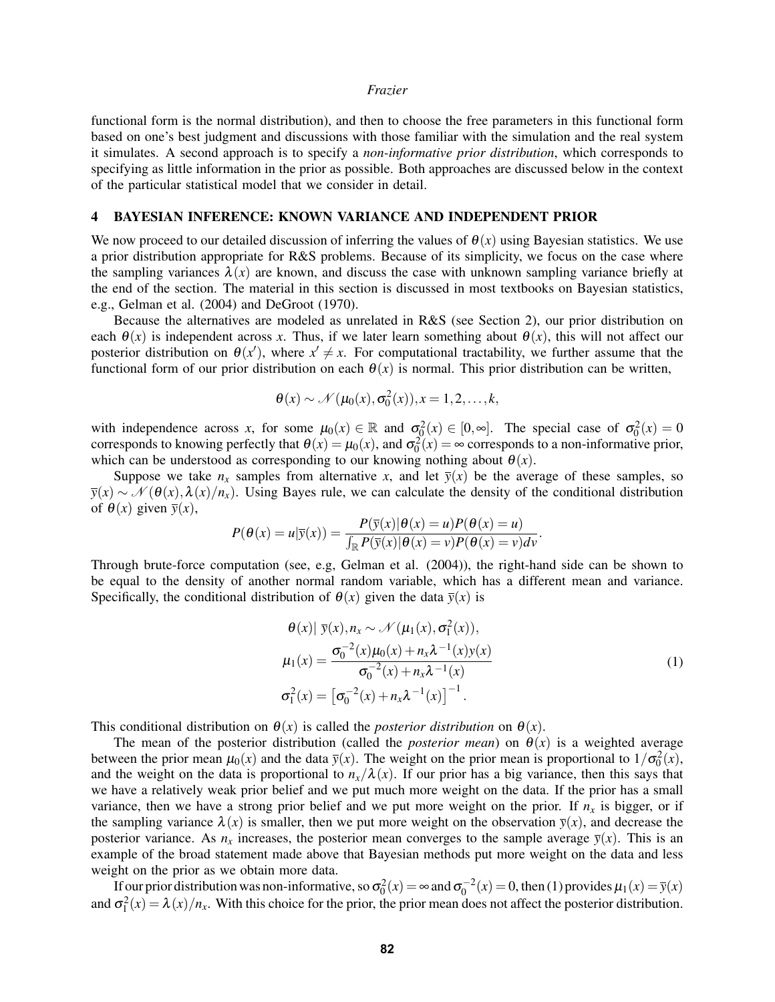functional form is the normal distribution), and then to choose the free parameters in this functional form based on one's best judgment and discussions with those familiar with the simulation and the real system it simulates. A second approach is to specify a *non-informative prior distribution*, which corresponds to specifying as little information in the prior as possible. Both approaches are discussed below in the context of the particular statistical model that we consider in detail.

### 4 BAYESIAN INFERENCE: KNOWN VARIANCE AND INDEPENDENT PRIOR

We now proceed to our detailed discussion of inferring the values of  $\theta(x)$  using Bayesian statistics. We use a prior distribution appropriate for R&S problems. Because of its simplicity, we focus on the case where the sampling variances  $\lambda(x)$  are known, and discuss the case with unknown sampling variance briefly at the end of the section. The material in this section is discussed in most textbooks on Bayesian statistics, e.g., Gelman et al. (2004) and DeGroot (1970).

Because the alternatives are modeled as unrelated in R&S (see Section 2), our prior distribution on each  $\theta(x)$  is independent across x. Thus, if we later learn something about  $\theta(x)$ , this will not affect our posterior distribution on  $\theta(x')$ , where  $x' \neq x$ . For computational tractability, we further assume that the functional form of our prior distribution on each  $\theta(x)$  is normal. This prior distribution can be written,

$$
\boldsymbol{\theta}(x) \sim \mathcal{N}(\boldsymbol{\mu}_0(x), \sigma_0^2(x)), x = 1, 2, \ldots, k,
$$

with independence across *x*, for some  $\mu_0(x) \in \mathbb{R}$  and  $\sigma_0^2(x) \in [0, \infty]$ . The special case of  $\sigma_0^2(x) = 0$ corresponds to knowing perfectly that  $\theta(x) = \mu_0(x)$ , and  $\sigma_0^2(x) = \infty$  corresponds to a non-informative prior, which can be understood as corresponding to our knowing nothing about  $\theta(x)$ .

Suppose we take  $n_x$  samples from alternative x, and let  $\bar{y}(x)$  be the average of these samples, so  $\bar{y}(x) \sim \mathcal{N}(\theta(x), \lambda(x)/n_x)$ . Using Bayes rule, we can calculate the density of the conditional distribution of  $\theta(x)$  given  $\bar{y}(x)$ ,

$$
P(\theta(x) = u | \overline{y}(x)) = \frac{P(\overline{y}(x) | \theta(x) = u) P(\theta(x) = u)}{\int_{\mathbb{R}} P(\overline{y}(x) | \theta(x) = v) P(\theta(x) = v) dv}.
$$

Through brute-force computation (see, e.g, Gelman et al. (2004)), the right-hand side can be shown to be equal to the density of another normal random variable, which has a different mean and variance. Specifically, the conditional distribution of  $\theta(x)$  given the data  $\bar{y}(x)$  is

$$
\theta(x) | \overline{y}(x), n_x \sim \mathcal{N}(\mu_1(x), \sigma_1^2(x)),
$$
  
\n
$$
\mu_1(x) = \frac{\sigma_0^{-2}(x)\mu_0(x) + n_x \lambda^{-1}(x)y(x)}{\sigma_0^{-2}(x) + n_x \lambda^{-1}(x)}
$$
  
\n
$$
\sigma_1^2(x) = [\sigma_0^{-2}(x) + n_x \lambda^{-1}(x)]^{-1}.
$$
\n(1)

This conditional distribution on  $\theta(x)$  is called the *posterior distribution* on  $\theta(x)$ .

The mean of the posterior distribution (called the *posterior mean*) on  $\theta(x)$  is a weighted average between the prior mean  $\mu_0(x)$  and the data  $\bar{y}(x)$ . The weight on the prior mean is proportional to  $1/\sigma_0^2(x)$ , and the weight on the data is proportional to  $n<sub>x</sub>/\lambda(x)$ . If our prior has a big variance, then this says that we have a relatively weak prior belief and we put much more weight on the data. If the prior has a small variance, then we have a strong prior belief and we put more weight on the prior. If  $n<sub>x</sub>$  is bigger, or if the sampling variance  $\lambda(x)$  is smaller, then we put more weight on the observation  $\bar{y}(x)$ , and decrease the posterior variance. As  $n_x$  increases, the posterior mean converges to the sample average  $\bar{y}(x)$ . This is an example of the broad statement made above that Bayesian methods put more weight on the data and less weight on the prior as we obtain more data.

If our prior distribution was non-informative, so  $\sigma_0^2(x) = \infty$  and  $\sigma_0^{-2}(x) = 0$ , then (1) provides  $\mu_1(x) = \bar{y}(x)$ and  $\sigma_1^2(x) = \lambda(x)/n_x$ . With this choice for the prior, the prior mean does not affect the posterior distribution.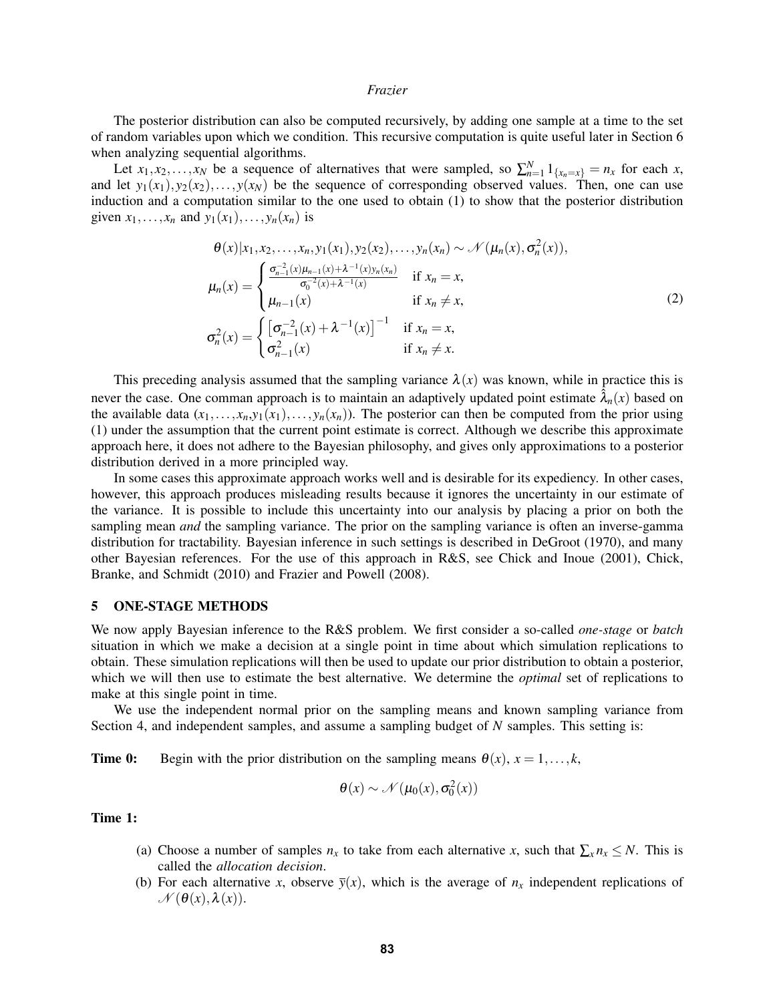The posterior distribution can also be computed recursively, by adding one sample at a time to the set of random variables upon which we condition. This recursive computation is quite useful later in Section 6 when analyzing sequential algorithms.

Let  $x_1, x_2, \ldots, x_N$  be a sequence of alternatives that were sampled, so  $\sum_{n=1}^{N} 1_{\{x_n = x\}} = n_x$  for each *x*, and let  $y_1(x_1), y_2(x_2), \ldots, y(x_N)$  be the sequence of corresponding observed values. Then, one can use induction and a computation similar to the one used to obtain (1) to show that the posterior distribution given  $x_1, \ldots, x_n$  and  $y_1(x_1), \ldots, y_n(x_n)$  is

$$
\theta(x)|x_1, x_2, \dots, x_n, y_1(x_1), y_2(x_2), \dots, y_n(x_n) \sim \mathcal{N}(\mu_n(x), \sigma_n^2(x)),
$$
  

$$
\mu_n(x) = \begin{cases} \frac{\sigma_{n-1}^{-2}(x)\mu_{n-1}(x) + \lambda^{-1}(x)y_n(x_n)}{\sigma_0^{-2}(x) + \lambda^{-1}(x)} & \text{if } x_n = x, \\ \mu_{n-1}(x) & \text{if } x_n \neq x, \end{cases}
$$
  

$$
\sigma_n^2(x) = \begin{cases} \left[\sigma_{n-1}^{-2}(x) + \lambda^{-1}(x)\right]^{-1} & \text{if } x_n = x, \\ \sigma_{n-1}^2(x) & \text{if } x_n \neq x. \end{cases}
$$
 (2)

This preceding analysis assumed that the sampling variance  $\lambda(x)$  was known, while in practice this is never the case. One comman approach is to maintain an adaptively updated point estimate  $\lambda_n(x)$  based on the available data  $(x_1,...,x_n,y_1(x_1),...,y_n(x_n))$ . The posterior can then be computed from the prior using (1) under the assumption that the current point estimate is correct. Although we describe this approximate approach here, it does not adhere to the Bayesian philosophy, and gives only approximations to a posterior distribution derived in a more principled way.

In some cases this approximate approach works well and is desirable for its expediency. In other cases, however, this approach produces misleading results because it ignores the uncertainty in our estimate of the variance. It is possible to include this uncertainty into our analysis by placing a prior on both the sampling mean *and* the sampling variance. The prior on the sampling variance is often an inverse-gamma distribution for tractability. Bayesian inference in such settings is described in DeGroot (1970), and many other Bayesian references. For the use of this approach in R&S, see Chick and Inoue (2001), Chick, Branke, and Schmidt (2010) and Frazier and Powell (2008).

# 5 ONE-STAGE METHODS

We now apply Bayesian inference to the R&S problem. We first consider a so-called *one-stage* or *batch* situation in which we make a decision at a single point in time about which simulation replications to obtain. These simulation replications will then be used to update our prior distribution to obtain a posterior, which we will then use to estimate the best alternative. We determine the *optimal* set of replications to make at this single point in time.

We use the independent normal prior on the sampling means and known sampling variance from Section 4, and independent samples, and assume a sampling budget of *N* samples. This setting is:

**Time 0:** Begin with the prior distribution on the sampling means  $\theta(x)$ ,  $x = 1, \ldots, k$ ,

$$
\boldsymbol{\theta}(x) \sim \mathcal{N}(\mu_0(x), \sigma_0^2(x))
$$

Time 1:

- (a) Choose a number of samples  $n_x$  to take from each alternative *x*, such that  $\sum_{x} n_x \leq N$ . This is called the *allocation decision*.
- (b) For each alternative *x*, observe  $\bar{y}(x)$ , which is the average of  $n_x$  independent replications of  $\mathcal{N}(\theta(x), \lambda(x)).$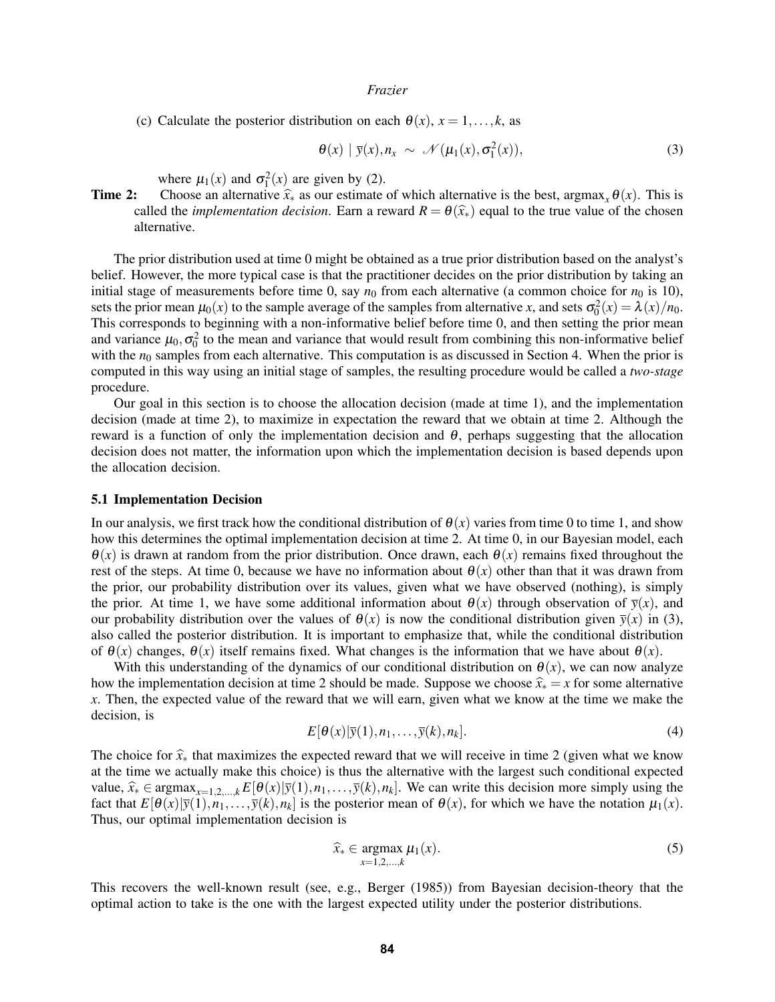(c) Calculate the posterior distribution on each  $\theta(x)$ ,  $x = 1, \ldots, k$ , as

$$
\theta(x) \mid \overline{y}(x), n_x \sim \mathcal{N}(\mu_1(x), \sigma_1^2(x)), \tag{3}
$$

where  $\mu_1(x)$  and  $\sigma_1^2(x)$  are given by (2).

**Time 2:** Choose an alternative  $\hat{x}_*$  as our estimate of which alternative is the best, argmax<sub>x</sub>  $\theta(x)$ . This is called the *implementation decision*. Earn a reward  $R = \theta(\hat{x}_*)$  equal to the true value of the chosen alternative.

The prior distribution used at time 0 might be obtained as a true prior distribution based on the analyst's belief. However, the more typical case is that the practitioner decides on the prior distribution by taking an initial stage of measurements before time 0, say  $n_0$  from each alternative (a common choice for  $n_0$  is 10), sets the prior mean  $\mu_0(x)$  to the sample average of the samples from alternative *x*, and sets  $\sigma_0^2(x) = \lambda(x)/n_0$ . This corresponds to beginning with a non-informative belief before time 0, and then setting the prior mean and variance  $\mu_0, \sigma_0^2$  to the mean and variance that would result from combining this non-informative belief with the  $n_0$  samples from each alternative. This computation is as discussed in Section 4. When the prior is computed in this way using an initial stage of samples, the resulting procedure would be called a *two-stage* procedure.

Our goal in this section is to choose the allocation decision (made at time 1), and the implementation decision (made at time 2), to maximize in expectation the reward that we obtain at time 2. Although the reward is a function of only the implementation decision and θ, perhaps suggesting that the allocation decision does not matter, the information upon which the implementation decision is based depends upon the allocation decision.

### 5.1 Implementation Decision

In our analysis, we first track how the conditional distribution of  $\theta(x)$  varies from time 0 to time 1, and show how this determines the optimal implementation decision at time 2. At time 0, in our Bayesian model, each  $\theta(x)$  is drawn at random from the prior distribution. Once drawn, each  $\theta(x)$  remains fixed throughout the rest of the steps. At time 0, because we have no information about  $\theta(x)$  other than that it was drawn from the prior, our probability distribution over its values, given what we have observed (nothing), is simply the prior. At time 1, we have some additional information about  $\theta(x)$  through observation of  $\bar{y}(x)$ , and our probability distribution over the values of  $\theta(x)$  is now the conditional distribution given  $\bar{y}(x)$  in (3), also called the posterior distribution. It is important to emphasize that, while the conditional distribution of  $\theta(x)$  changes,  $\theta(x)$  itself remains fixed. What changes is the information that we have about  $\theta(x)$ .

With this understanding of the dynamics of our conditional distribution on  $\theta(x)$ , we can now analyze how the implementation decision at time 2 should be made. Suppose we choose  $\hat{x}_* = x$  for some alternative *x*. Then, the expected value of the reward that we will earn, given what we know at the time we make the decision, is

$$
E[\theta(x)|\overline{y}(1), n_1, \ldots, \overline{y}(k), n_k].
$$
\n(4)

The choice for  $\hat{x}_*$  that maximizes the expected reward that we will receive in time 2 (given what we know at the time we actually make this choice) is thus the alternative with the largest such conditional expected value,  $\hat{x}_* \in \text{argmax}_{x=1,2,...,k} E[\theta(x)|\overline{y}(1),n_1,\ldots,\overline{y}(k),n_k]$ . We can write this decision more simply using the fact that  $E[\theta(x)|\overline{y}(1), n_1,\ldots,\overline{y}(k), n_k]$  is the posterior mean of  $\theta(x)$ , for which we have the notation  $\mu_1(x)$ . Thus, our optimal implementation decision is

$$
\widehat{x}_* \in \underset{x=1,2,\ldots,k}{\operatorname{argmax}} \mu_1(x). \tag{5}
$$

This recovers the well-known result (see, e.g., Berger (1985)) from Bayesian decision-theory that the optimal action to take is the one with the largest expected utility under the posterior distributions.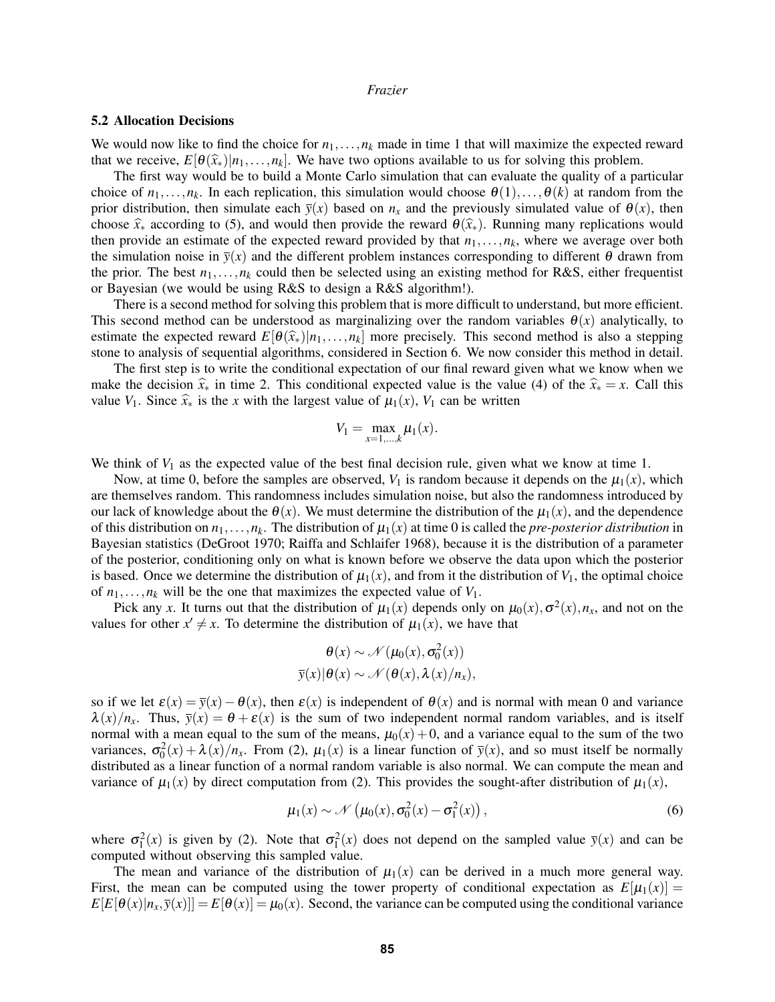# 5.2 Allocation Decisions

We would now like to find the choice for  $n_1, \ldots, n_k$  made in time 1 that will maximize the expected reward that we receive,  $E[\theta(\hat{x}_*)|n_1,\ldots,n_k]$ . We have two options available to us for solving this problem.

The first way would be to build a Monte Carlo simulation that can evaluate the quality of a particular choice of  $n_1, \ldots, n_k$ . In each replication, this simulation would choose  $\theta(1), \ldots, \theta(k)$  at random from the prior distribution, then simulate each  $\bar{y}(x)$  based on  $n_x$  and the previously simulated value of  $\theta(x)$ , then choose  $\hat{x}_*$  according to (5), and would then provide the reward  $\theta(\hat{x}_*)$ . Running many replications would then provide an estimate of the expected reward provided by that  $n_1, \ldots, n_k$ , where we average over both the simulation noise in  $\bar{y}(x)$  and the different problem instances corresponding to different  $\theta$  drawn from the prior. The best  $n_1, \ldots, n_k$  could then be selected using an existing method for R&S, either frequentist or Bayesian (we would be using R&S to design a R&S algorithm!).

There is a second method for solving this problem that is more difficult to understand, but more efficient. This second method can be understood as marginalizing over the random variables  $\theta(x)$  analytically, to estimate the expected reward  $E[\theta(\hat{x}_*)|n_1,\ldots,n_k]$  more precisely. This second method is also a stepping stone to analysis of sequential algorithms, considered in Section 6. We now consider this method in detail.

The first step is to write the conditional expectation of our final reward given what we know when we make the decision  $\hat{x}_*$  in time 2. This conditional expected value is the value (4) of the  $\hat{x}_* = x$ . Call this value *V*<sub>1</sub>. Since  $\hat{x}_*$  is the *x* with the largest value of  $\mu_1(x)$ , *V*<sub>1</sub> can be written

$$
V_1 = \max_{x=1,...,k} \mu_1(x).
$$

We think of  $V_1$  as the expected value of the best final decision rule, given what we know at time 1.

Now, at time 0, before the samples are observed,  $V_1$  is random because it depends on the  $\mu_1(x)$ , which are themselves random. This randomness includes simulation noise, but also the randomness introduced by our lack of knowledge about the  $\theta(x)$ . We must determine the distribution of the  $\mu_1(x)$ , and the dependence of this distribution on  $n_1, \ldots, n_k$ . The distribution of  $\mu_1(x)$  at time 0 is called the *pre-posterior distribution* in Bayesian statistics (DeGroot 1970; Raiffa and Schlaifer 1968), because it is the distribution of a parameter of the posterior, conditioning only on what is known before we observe the data upon which the posterior is based. Once we determine the distribution of  $\mu_1(x)$ , and from it the distribution of  $V_1$ , the optimal choice of  $n_1, \ldots, n_k$  will be the one that maximizes the expected value of  $V_1$ .

Pick any *x*. It turns out that the distribution of  $\mu_1(x)$  depends only on  $\mu_0(x)$ ,  $\sigma^2(x)$ ,  $n_x$ , and not on the values for other  $x' \neq x$ . To determine the distribution of  $\mu_1(x)$ , we have that

$$
\theta(x) \sim \mathcal{N}(\mu_0(x), \sigma_0^2(x))
$$
  

$$
\bar{y}(x)|\theta(x) \sim \mathcal{N}(\theta(x), \lambda(x)/n_x)
$$

so if we let  $\varepsilon(x) = \overline{y}(x) - \theta(x)$ , then  $\varepsilon(x)$  is independent of  $\theta(x)$  and is normal with mean 0 and variance  $\lambda(x)/n_x$ . Thus,  $\bar{y}(x) = \theta + \varepsilon(x)$  is the sum of two independent normal random variables, and is itself normal with a mean equal to the sum of the means,  $\mu_0(x) + 0$ , and a variance equal to the sum of the two variances,  $\sigma_0^2(x) + \lambda(x)/n_x$ . From (2),  $\mu_1(x)$  is a linear function of  $\bar{y}(x)$ , and so must itself be normally distributed as a linear function of a normal random variable is also normal. We can compute the mean and variance of  $\mu_1(x)$  by direct computation from (2). This provides the sought-after distribution of  $\mu_1(x)$ ,

$$
\mu_1(x) \sim \mathcal{N}\left(\mu_0(x), \sigma_0^2(x) - \sigma_1^2(x)\right),\tag{6}
$$

where  $\sigma_1^2(x)$  is given by (2). Note that  $\sigma_1^2(x)$  does not depend on the sampled value  $\bar{y}(x)$  and can be computed without observing this sampled value.

The mean and variance of the distribution of  $\mu_1(x)$  can be derived in a much more general way. First, the mean can be computed using the tower property of conditional expectation as  $E[\mu_1(x)] =$  $E[E[\theta(x)|n_x, \overline{y}(x)]] = E[\theta(x)] = \mu_0(x)$ . Second, the variance can be computed using the conditional variance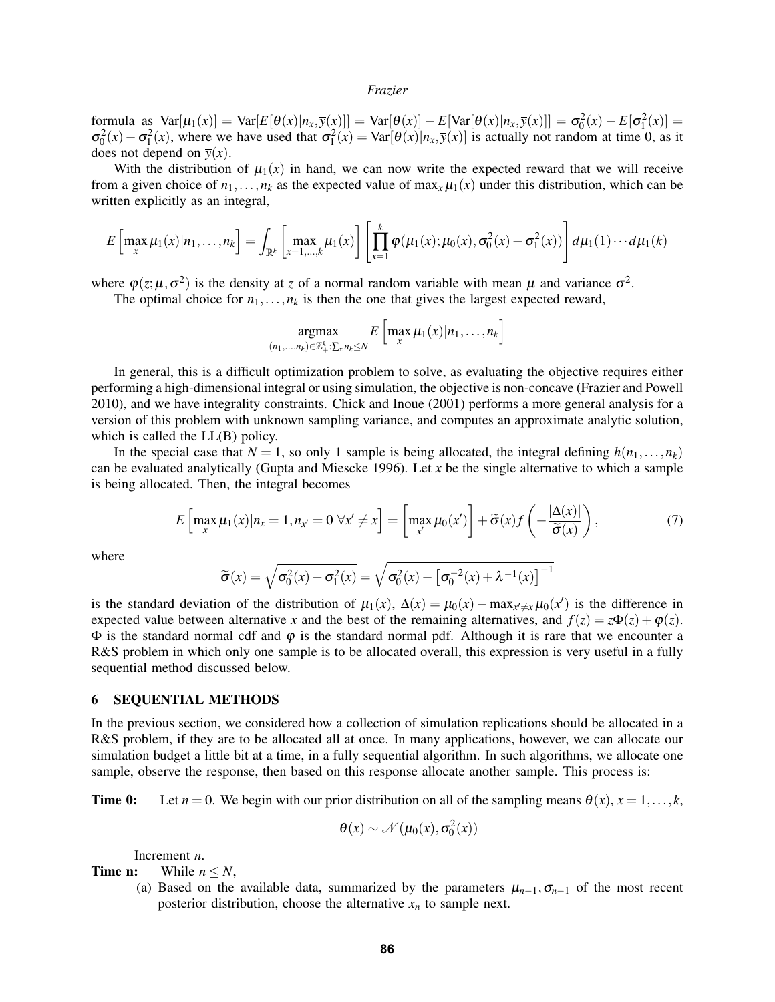formula as  $Var[\mu_1(x)] = Var[E[\theta(x)|n_x, \overline{y}(x)]] = Var[\theta(x)] - E[Var[\theta(x)|n_x, \overline{y}(x)]] = \sigma_0^2(x) - E[\sigma_1^2(x)] =$  $\sigma_0^2(x) - \sigma_1^2(x)$ , where we have used that  $\sigma_1^2(x) = \text{Var}[\theta(x)|n_x, \overline{y}(x)]$  is actually not random at time 0, as it does not depend on  $\bar{y}(x)$ .

With the distribution of  $\mu_1(x)$  in hand, we can now write the expected reward that we will receive from a given choice of  $n_1, \ldots, n_k$  as the expected value of  $\max_x \mu_1(x)$  under this distribution, which can be written explicitly as an integral,

$$
E\left[\max_{x}\mu_1(x)|n_1,\ldots,n_k\right] = \int_{\mathbb{R}^k} \left[\max_{x=1,\ldots,k}\mu_1(x)\right] \left[\prod_{x=1}^k \varphi(\mu_1(x); \mu_0(x), \sigma_0^2(x) - \sigma_1^2(x))\right] d\mu_1(1)\cdots d\mu_1(k)
$$

where  $\varphi(z; \mu, \sigma^2)$  is the density at *z* of a normal random variable with mean  $\mu$  and variance  $\sigma^2$ .

The optimal choice for  $n_1, \ldots, n_k$  is then the one that gives the largest expected reward,

$$
\underset{(n_1,\ldots,n_k)\in\mathbb{Z}_+^k:\Sigma_x n_k\leq N}{\operatorname{argmax}} E\left[\underset{x}{\max}\mu_1(x)|n_1,\ldots,n_k\right]
$$

In general, this is a difficult optimization problem to solve, as evaluating the objective requires either performing a high-dimensional integral or using simulation, the objective is non-concave (Frazier and Powell 2010), and we have integrality constraints. Chick and Inoue (2001) performs a more general analysis for a version of this problem with unknown sampling variance, and computes an approximate analytic solution, which is called the  $LL(B)$  policy.

In the special case that  $N = 1$ , so only 1 sample is being allocated, the integral defining  $h(n_1, \ldots, n_k)$ can be evaluated analytically (Gupta and Miescke 1996). Let *x* be the single alternative to which a sample is being allocated. Then, the integral becomes

$$
E\left[\max_{x}\mu_1(x)|n_x=1,n_{x'}=0\,\,\forall x'\neq x\right]=\left[\max_{x'}\mu_0(x')\right]+\widetilde{\sigma}(x)f\left(-\frac{|\Delta(x)|}{\widetilde{\sigma}(x)}\right),\qquad\qquad(7)
$$

where

$$
\widetilde{\sigma}(x) = \sqrt{\sigma_0^2(x) - \sigma_1^2(x)} = \sqrt{\sigma_0^2(x) - [\sigma_0^{-2}(x) + \lambda^{-1}(x)]^{-1}}
$$

is the standard deviation of the distribution of  $\mu_1(x)$ ,  $\Delta(x) = \mu_0(x) - \max_{x' \neq x} \mu_0(x')$  is the difference in expected value between alternative *x* and the best of the remaining alternatives, and  $f(z) = z\Phi(z) + \varphi(z)$ .  $\Phi$  is the standard normal cdf and  $\varphi$  is the standard normal pdf. Although it is rare that we encounter a R&S problem in which only one sample is to be allocated overall, this expression is very useful in a fully sequential method discussed below.

#### 6 SEQUENTIAL METHODS

In the previous section, we considered how a collection of simulation replications should be allocated in a R&S problem, if they are to be allocated all at once. In many applications, however, we can allocate our simulation budget a little bit at a time, in a fully sequential algorithm. In such algorithms, we allocate one sample, observe the response, then based on this response allocate another sample. This process is:

**Time 0:** Let  $n = 0$ . We begin with our prior distribution on all of the sampling means  $\theta(x)$ ,  $x = 1, \ldots, k$ ,

$$
\boldsymbol{\theta}(x) \sim \mathcal{N}(\mu_0(x), \sigma_0^2(x))
$$

Increment *n*.

**Time n:** While  $n \leq N$ ,

(a) Based on the available data, summarized by the parameters  $\mu_{n-1}, \sigma_{n-1}$  of the most recent posterior distribution, choose the alternative  $x_n$  to sample next.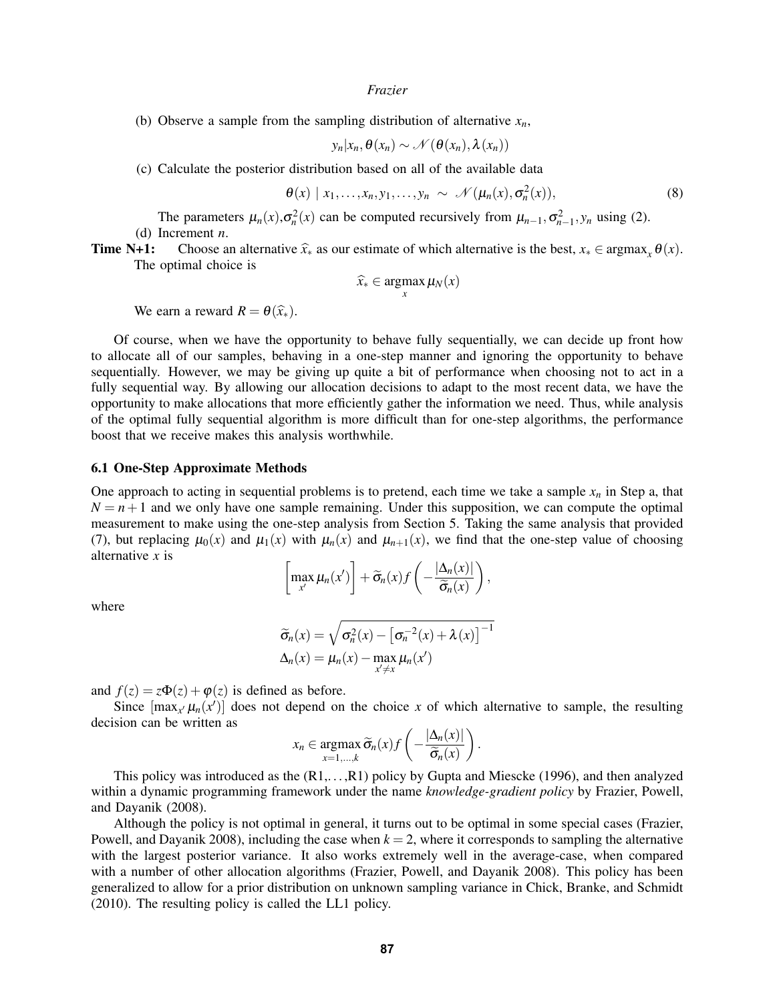(b) Observe a sample from the sampling distribution of alternative  $x_n$ ,

$$
y_n|x_n, \theta(x_n) \sim \mathcal{N}(\theta(x_n), \lambda(x_n))
$$

(c) Calculate the posterior distribution based on all of the available data

$$
\theta(x) | x_1, \ldots, x_n, y_1, \ldots, y_n \sim \mathcal{N}(\mu_n(x), \sigma_n^2(x)), \qquad (8)
$$

The parameters  $\mu_n(x), \sigma_n^2(x)$  can be computed recursively from  $\mu_{n-1}, \sigma_{n-1}^2, y_n$  using (2). (d) Increment *n*.

**Time N+1:** Choose an alternative  $\hat{x}_*$  as our estimate of which alternative is the best,  $x_* \in \text{argmax}_x \theta(x)$ . The optimal choice is

$$
\widehat{x}_* \in \operatorname*{argmax}_x \mu_N(x)
$$

We earn a reward  $R = \theta(\widehat{x}_*)$ .

Of course, when we have the opportunity to behave fully sequentially, we can decide up front how to allocate all of our samples, behaving in a one-step manner and ignoring the opportunity to behave sequentially. However, we may be giving up quite a bit of performance when choosing not to act in a fully sequential way. By allowing our allocation decisions to adapt to the most recent data, we have the opportunity to make allocations that more efficiently gather the information we need. Thus, while analysis of the optimal fully sequential algorithm is more difficult than for one-step algorithms, the performance boost that we receive makes this analysis worthwhile.

# 6.1 One-Step Approximate Methods

One approach to acting in sequential problems is to pretend, each time we take a sample  $x_n$  in Step a, that  $N = n + 1$  and we only have one sample remaining. Under this supposition, we can compute the optimal measurement to make using the one-step analysis from Section 5. Taking the same analysis that provided (7), but replacing  $\mu_0(x)$  and  $\mu_1(x)$  with  $\mu_n(x)$  and  $\mu_{n+1}(x)$ , we find that the one-step value of choosing alternative *x* is

$$
\left[\max_{x'}\mu_n(x')\right]+\widetilde{\sigma}_n(x)f\left(-\frac{|\Delta_n(x)|}{\widetilde{\sigma}_n(x)}\right),\,
$$

where

$$
\widetilde{\sigma}_n(x) = \sqrt{\sigma_n^2(x) - [\sigma_n^{-2}(x) + \lambda(x)]^{-1}}
$$
  
\n
$$
\Delta_n(x) = \mu_n(x) - \max_{x' \neq x} \mu_n(x')
$$

and  $f(z) = z\Phi(z) + \varphi(z)$  is defined as before.

Since  $[\max_{x'} \mu_n(x')]$  does not depend on the choice x of which alternative to sample, the resulting decision can be written as

$$
x_n \in \operatorname*{argmax}_{x=1,\ldots,k} \widetilde{\sigma}_n(x) f\left(-\frac{|\Delta_n(x)|}{\widetilde{\sigma}_n(x)}\right)
$$

.

This policy was introduced as the (R1,. . . ,R1) policy by Gupta and Miescke (1996), and then analyzed within a dynamic programming framework under the name *knowledge-gradient policy* by Frazier, Powell, and Dayanik (2008).

Although the policy is not optimal in general, it turns out to be optimal in some special cases (Frazier, Powell, and Dayanik 2008), including the case when  $k = 2$ , where it corresponds to sampling the alternative with the largest posterior variance. It also works extremely well in the average-case, when compared with a number of other allocation algorithms (Frazier, Powell, and Dayanik 2008). This policy has been generalized to allow for a prior distribution on unknown sampling variance in Chick, Branke, and Schmidt (2010). The resulting policy is called the LL1 policy.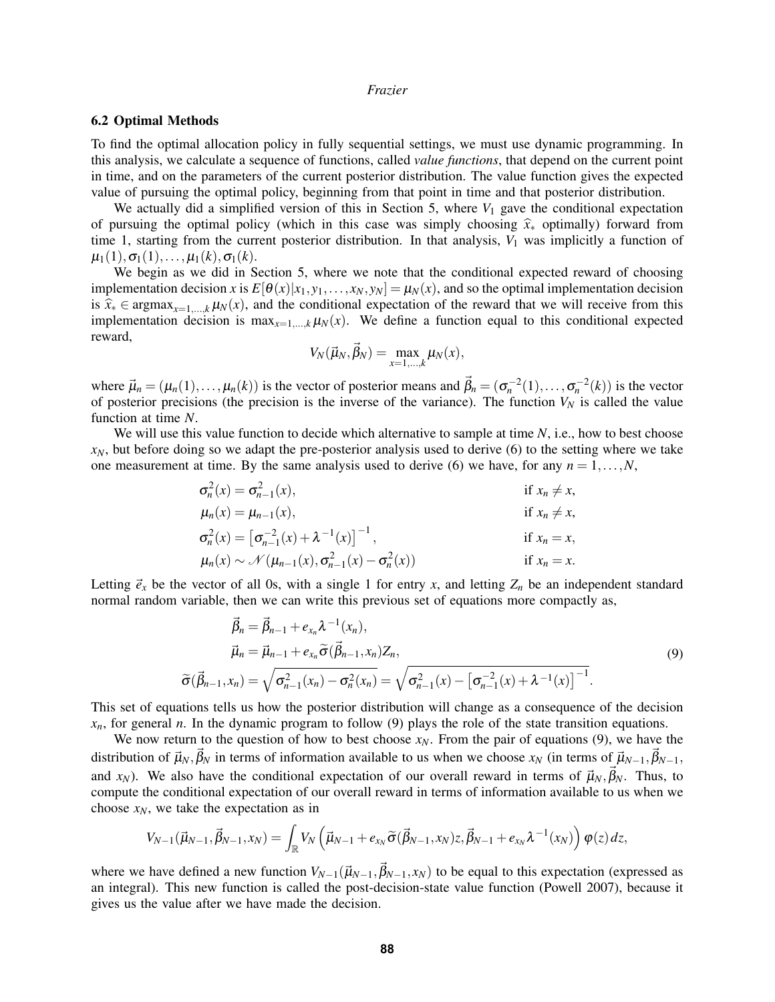# 6.2 Optimal Methods

To find the optimal allocation policy in fully sequential settings, we must use dynamic programming. In this analysis, we calculate a sequence of functions, called *value functions*, that depend on the current point in time, and on the parameters of the current posterior distribution. The value function gives the expected value of pursuing the optimal policy, beginning from that point in time and that posterior distribution.

We actually did a simplified version of this in Section 5, where  $V_1$  gave the conditional expectation of pursuing the optimal policy (which in this case was simply choosing  $\hat{x}_*$  optimally) forward from time 1, starting from the current posterior distribution. In that analysis,  $V_1$  was implicitly a function of  $\mu_1(1), \sigma_1(1), \ldots, \mu_1(k), \sigma_1(k).$ 

We begin as we did in Section 5, where we note that the conditional expected reward of choosing implementation decision *x* is  $E[\theta(x)|x_1, y_1, \ldots, x_N, y_N] = \mu_N(x)$ , and so the optimal implementation decision is  $\hat{x}_* \in \text{argmax}_{x=1,\dots,k} \mu_N(x)$ , and the conditional expectation of the reward that we will receive from this implementation decision is  $\max_{x=1,\dots,k} \mu_N(x)$ . We define a function equal to this conditional expected reward,

$$
V_N(\vec{\mu}_N, \vec{\beta}_N) = \max_{x=1,\dots,k} \mu_N(x),
$$

where  $\vec{\mu}_n = (\mu_n(1), \dots, \mu_n(k))$  is the vector of posterior means and  $\vec{\beta}_n = (\sigma_n^{-2}(1), \dots, \sigma_n^{-2}(k))$  is the vector of posterior precisions (the precision is the inverse of the variance). The function  $V_N$  is called the value function at time *N*.

We will use this value function to decide which alternative to sample at time *N*, i.e., how to best choose  $x_N$ , but before doing so we adapt the pre-posterior analysis used to derive (6) to the setting where we take one measurement at time. By the same analysis used to derive (6) we have, for any  $n = 1, \ldots, N$ ,

$$
\sigma_n^2(x) = \sigma_{n-1}^2(x),
$$
  
\nif  $x_n \neq x$ ,  
\n
$$
\mu_n(x) = \mu_{n-1}(x),
$$
  
\nif  $x_n \neq x$ ,  
\n
$$
\sigma_n^2(x) = [\sigma_{n-1}^{-2}(x) + \lambda^{-1}(x)]^{-1},
$$
  
\nif  $x_n \neq x$ ,  
\nif  $x_n = x$ ,  
\nif  $x_n = x$ ,  
\nif  $x_n = x$ ,  
\nif  $x_n = x$ ,  
\nif  $x_n = x$ .

Letting  $\vec{e}_x$  be the vector of all 0s, with a single 1 for entry x, and letting  $Z_n$  be an independent standard normal random variable, then we can write this previous set of equations more compactly as,

$$
\vec{\beta}_n = \vec{\beta}_{n-1} + e_{x_n} \lambda^{-1}(x_n), \n\vec{\mu}_n = \vec{\mu}_{n-1} + e_{x_n} \widetilde{\sigma}(\vec{\beta}_{n-1}, x_n) Z_n, \n\widetilde{\sigma}(\vec{\beta}_{n-1}, x_n) = \sqrt{\sigma_{n-1}^2(x_n) - \sigma_n^2(x_n)} = \sqrt{\sigma_{n-1}^2(x) - [\sigma_{n-1}^{-2}(x) + \lambda^{-1}(x)]^{-1}}.
$$
\n(9)

This set of equations tells us how the posterior distribution will change as a consequence of the decision  $x_n$ , for general *n*. In the dynamic program to follow (9) plays the role of the state transition equations.

We now return to the question of how to best choose  $x_N$ . From the pair of equations (9), we have the distribution of  $\vec{\mu}_N$ ,  $\vec{\beta}_N$  in terms of information available to us when we choose  $x_N$  (in terms of  $\vec{\mu}_{N-1}$ ,  $\vec{\beta}_{N-1}$ , and *x<sub>N</sub>*). We also have the conditional expectation of our overall reward in terms of  $\vec{\mu}_N$ ,  $\vec{\beta}_N$ . Thus, to compute the conditional expectation of our overall reward in terms of information available to us when we choose  $x_N$ , we take the expectation as in

$$
V_{N-1}(\vec{\mu}_{N-1},\vec{\beta}_{N-1},x_N)=\int_{\mathbb{R}}V_N\left(\vec{\mu}_{N-1}+e_{x_N}\widetilde{\sigma}(\vec{\beta}_{N-1},x_N)z,\vec{\beta}_{N-1}+e_{x_N}\lambda^{-1}(x_N)\right)\varphi(z)\,dz,
$$

where we have defined a new function  $V_{N-1}(\vec{\mu}_{N-1}, \vec{\beta}_{N-1}, x_N)$  to be equal to this expectation (expressed as an integral). This new function is called the post-decision-state value function (Powell 2007), because it gives us the value after we have made the decision.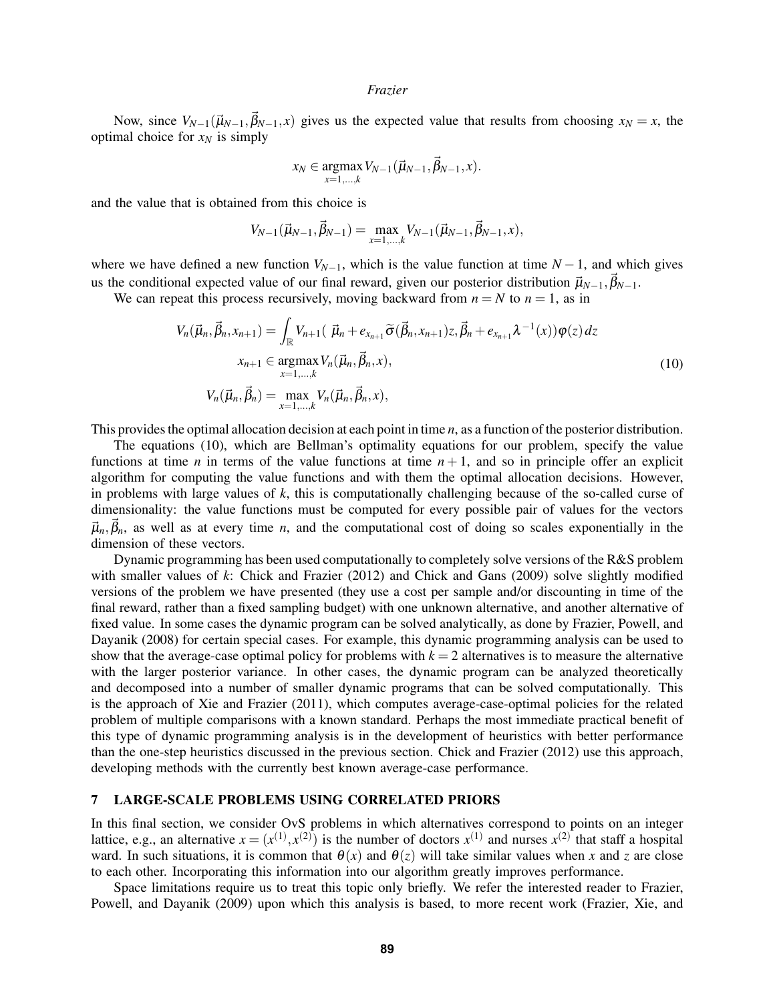Now, since  $V_{N-1}(\vec{\mu}_{N-1}, \vec{\beta}_{N-1}, x)$  gives us the expected value that results from choosing  $x_N = x$ , the optimal choice for  $x_N$  is simply

$$
x_N \in \underset{x=1,...,k}{\text{argmax}} V_{N-1}(\vec{\mu}_{N-1}, \vec{\beta}_{N-1}, x).
$$

and the value that is obtained from this choice is

$$
V_{N-1}(\vec{\mu}_{N-1}, \vec{\beta}_{N-1}) = \max_{x=1,\dots,k} V_{N-1}(\vec{\mu}_{N-1}, \vec{\beta}_{N-1}, x),
$$

where we have defined a new function  $V_{N-1}$ , which is the value function at time  $N-1$ , and which gives us the conditional expected value of our final reward, given our posterior distribution  $\vec{\mu}_{N-1}, \vec{\beta}_{N-1}$ .

We can repeat this process recursively, moving backward from  $n = N$  to  $n = 1$ , as in

$$
V_n(\vec{\mu}_n, \vec{\beta}_n, x_{n+1}) = \int_{\mathbb{R}} V_{n+1}(\vec{\mu}_n + e_{x_{n+1}} \widetilde{\sigma}(\vec{\beta}_n, x_{n+1}) z, \vec{\beta}_n + e_{x_{n+1}} \lambda^{-1}(x)) \varphi(z) dz
$$
  
\n
$$
x_{n+1} \in \underset{x=1,...,k}{\text{argmax}} V_n(\vec{\mu}_n, \vec{\beta}_n, x),
$$
  
\n
$$
V_n(\vec{\mu}_n, \vec{\beta}_n) = \underset{x=1,...,k}{\text{max}} V_n(\vec{\mu}_n, \vec{\beta}_n, x),
$$
\n(10)

This provides the optimal allocation decision at each point in time *n*, as a function of the posterior distribution.

The equations (10), which are Bellman's optimality equations for our problem, specify the value functions at time *n* in terms of the value functions at time  $n+1$ , and so in principle offer an explicit algorithm for computing the value functions and with them the optimal allocation decisions. However, in problems with large values of *k*, this is computationally challenging because of the so-called curse of dimensionality: the value functions must be computed for every possible pair of values for the vectors  $\vec{\mu}_n$ ,  $\vec{\beta}_n$ , as well as at every time *n*, and the computational cost of doing so scales exponentially in the dimension of these vectors.

Dynamic programming has been used computationally to completely solve versions of the R&S problem with smaller values of *k*: Chick and Frazier (2012) and Chick and Gans (2009) solve slightly modified versions of the problem we have presented (they use a cost per sample and/or discounting in time of the final reward, rather than a fixed sampling budget) with one unknown alternative, and another alternative of fixed value. In some cases the dynamic program can be solved analytically, as done by Frazier, Powell, and Dayanik (2008) for certain special cases. For example, this dynamic programming analysis can be used to show that the average-case optimal policy for problems with  $k = 2$  alternatives is to measure the alternative with the larger posterior variance. In other cases, the dynamic program can be analyzed theoretically and decomposed into a number of smaller dynamic programs that can be solved computationally. This is the approach of Xie and Frazier (2011), which computes average-case-optimal policies for the related problem of multiple comparisons with a known standard. Perhaps the most immediate practical benefit of this type of dynamic programming analysis is in the development of heuristics with better performance than the one-step heuristics discussed in the previous section. Chick and Frazier (2012) use this approach, developing methods with the currently best known average-case performance.

# 7 LARGE-SCALE PROBLEMS USING CORRELATED PRIORS

In this final section, we consider OvS problems in which alternatives correspond to points on an integer lattice, e.g., an alternative  $x = (x^{(1)}, x^{(2)})$  is the number of doctors  $x^{(1)}$  and nurses  $x^{(2)}$  that staff a hospital ward. In such situations, it is common that  $\theta(x)$  and  $\theta(z)$  will take similar values when *x* and *z* are close to each other. Incorporating this information into our algorithm greatly improves performance.

Space limitations require us to treat this topic only briefly. We refer the interested reader to Frazier, Powell, and Dayanik (2009) upon which this analysis is based, to more recent work (Frazier, Xie, and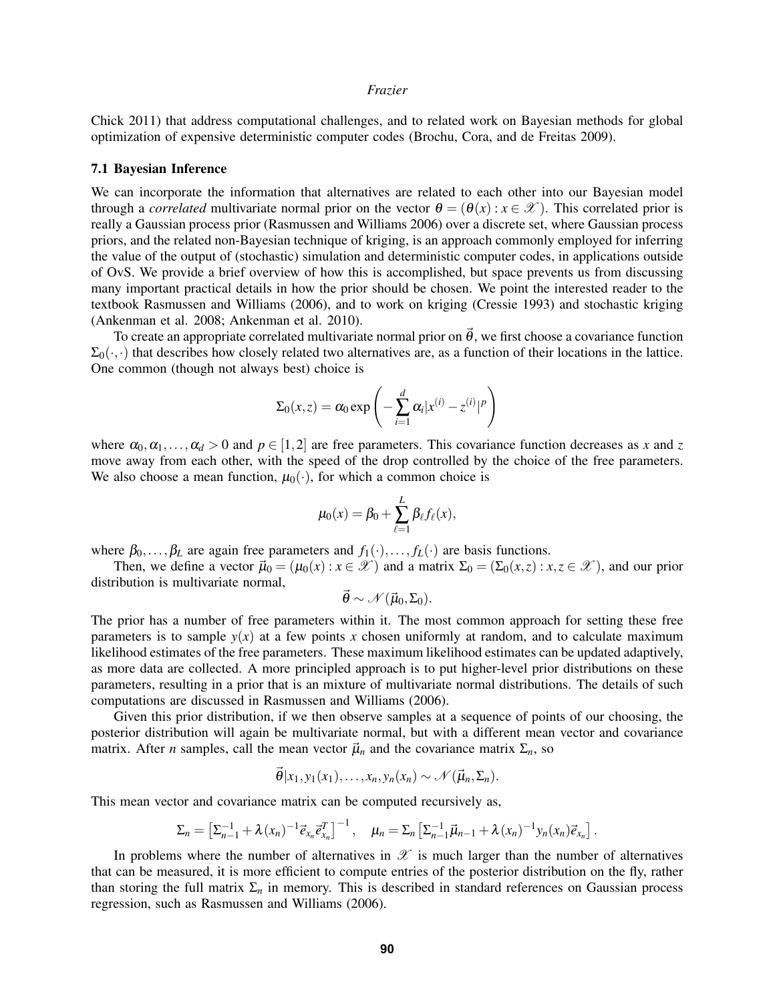Chick 2011) that address computational challenges, and to related work on Bayesian methods for global optimization of expensive deterministic computer codes (Brochu, Cora, and de Freitas 2009).

# 7.1 Bayesian Inference

We can incorporate the information that alternatives are related to each other into our Bayesian model through a *correlated* multivariate normal prior on the vector  $\theta = (\theta(x) : x \in \mathcal{X})$ . This correlated prior is really a Gaussian process prior (Rasmussen and Williams 2006) over a discrete set, where Gaussian process priors, and the related non-Bayesian technique of kriging, is an approach commonly employed for inferring the value of the output of (stochastic) simulation and deterministic computer codes, in applications outside of OvS. We provide a brief overview of how this is accomplished, but space prevents us from discussing many important practical details in how the prior should be chosen. We point the interested reader to the textbook Rasmussen and Williams (2006), and to work on kriging (Cressie 1993) and stochastic kriging (Ankenman et al. 2008; Ankenman et al. 2010).

To create an appropriate correlated multivariate normal prior on  $\vec{\theta}$ , we first choose a covariance function  $\Sigma_0(\cdot,\cdot)$  that describes how closely related two alternatives are, as a function of their locations in the lattice. One common (though not always best) choice is

$$
\Sigma_0(x,z) = \alpha_0 \exp\left(-\sum_{i=1}^d \alpha_i |x^{(i)} - z^{(i)}|^p\right)
$$

where  $\alpha_0, \alpha_1, \ldots, \alpha_d > 0$  and  $p \in [1,2]$  are free parameters. This covariance function decreases as *x* and *z* move away from each other, with the speed of the drop controlled by the choice of the free parameters. We also choose a mean function,  $\mu_0(\cdot)$ , for which a common choice is

$$
\mu_0(x) = \beta_0 + \sum_{\ell=1}^L \beta_\ell f_\ell(x),
$$

where  $\beta_0, \ldots, \beta_L$  are again free parameters and  $f_1(\cdot), \ldots, f_L(\cdot)$  are basis functions.

Then, we define a vector  $\vec{\mu}_0 = (\mu_0(x) : x \in \mathcal{X})$  and a matrix  $\Sigma_0 = (\Sigma_0(x, z) : x, z \in \mathcal{X})$ , and our prior distribution is multivariate normal,

$$
\vec{\theta} \sim \mathcal{N}(\vec{\mu}_0, \Sigma_0).
$$

The prior has a number of free parameters within it. The most common approach for setting these free parameters is to sample  $y(x)$  at a few points x chosen uniformly at random, and to calculate maximum likelihood estimates of the free parameters. These maximum likelihood estimates can be updated adaptively, as more data are collected. A more principled approach is to put higher-level prior distributions on these parameters, resulting in a prior that is an mixture of multivariate normal distributions. The details of such computations are discussed in Rasmussen and Williams (2006).

Given this prior distribution, if we then observe samples at a sequence of points of our choosing, the posterior distribution will again be multivariate normal, but with a different mean vector and covariance matrix. After *n* samples, call the mean vector  $\vec{\mu}_n$  and the covariance matrix  $\Sigma_n$ , so

$$
\vec{\theta}|x_1,y_1(x_1),\ldots,x_n,y_n(x_n) \sim \mathcal{N}(\vec{\mu}_n,\Sigma_n).
$$

This mean vector and covariance matrix can be computed recursively as,

$$
\Sigma_n = \left[\Sigma_{n-1}^{-1} + \lambda(x_n)^{-1} \vec{e}_{x_n} \vec{e}_{x_n}^T\right]^{-1}, \quad \mu_n = \Sigma_n \left[\Sigma_{n-1}^{-1} \vec{\mu}_{n-1} + \lambda(x_n)^{-1} y_n(x_n) \vec{e}_{x_n}\right].
$$

In problems where the number of alternatives in  $\mathscr X$  is much larger than the number of alternatives that can be measured, it is more efficient to compute entries of the posterior distribution on the fly, rather than storing the full matrix  $\Sigma_n$  in memory. This is described in standard references on Gaussian process regression, such as Rasmussen and Williams (2006).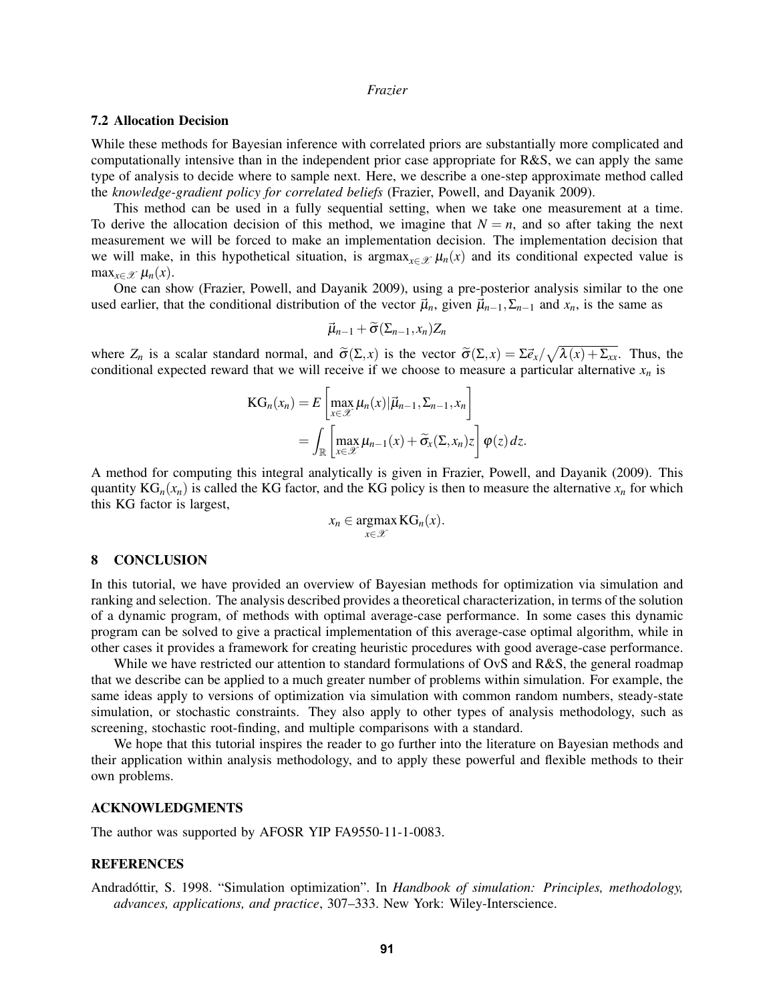# 7.2 Allocation Decision

While these methods for Bayesian inference with correlated priors are substantially more complicated and computationally intensive than in the independent prior case appropriate for R&S, we can apply the same type of analysis to decide where to sample next. Here, we describe a one-step approximate method called the *knowledge-gradient policy for correlated beliefs* (Frazier, Powell, and Dayanik 2009).

This method can be used in a fully sequential setting, when we take one measurement at a time. To derive the allocation decision of this method, we imagine that  $N = n$ , and so after taking the next measurement we will be forced to make an implementation decision. The implementation decision that we will make, in this hypothetical situation, is argmax<sub> $x \in \mathcal{X}$ </sub>  $\mu_n(x)$  and its conditional expected value is  $\max_{x \in \mathcal{X}} \mu_n(x)$ .

One can show (Frazier, Powell, and Dayanik 2009), using a pre-posterior analysis similar to the one used earlier, that the conditional distribution of the vector  $\vec{\mu}_n$ , given  $\vec{\mu}_{n-1}, \Sigma_{n-1}$  and  $x_n$ , is the same as

$$
\vec{\mu}_{n-1}+\widetilde{\sigma}(\Sigma_{n-1},x_n)Z_n
$$

where  $Z_n$  is a scalar standard normal, and  $\tilde{\sigma}(\Sigma, x)$  is the vector  $\tilde{\sigma}(\Sigma, x) = \Sigma \vec{e}_x / \sqrt{\lambda(x) + \Sigma_{xx}}$ . Thus, the conditional expected request that we will receive if we choose to measure a perticular elternative x i conditional expected reward that we will receive if we choose to measure a particular alternative  $x_n$  is

$$
KG_n(x_n) = E\left[\max_{x \in \mathcal{X}} \mu_n(x) | \vec{\mu}_{n-1}, \Sigma_{n-1}, x_n\right]
$$
  
= 
$$
\int_{\mathbb{R}} \left[\max_{x \in \mathcal{X}} \mu_{n-1}(x) + \widetilde{\sigma}_x(\Sigma, x_n)z\right] \varphi(z) dz.
$$

A method for computing this integral analytically is given in Frazier, Powell, and Dayanik (2009). This quantity  $KG_n(x_n)$  is called the KG factor, and the KG policy is then to measure the alternative  $x_n$  for which this KG factor is largest,

$$
x_n \in \operatorname*{argmax}_{x \in \mathcal{X}} KG_n(x).
$$

# 8 CONCLUSION

In this tutorial, we have provided an overview of Bayesian methods for optimization via simulation and ranking and selection. The analysis described provides a theoretical characterization, in terms of the solution of a dynamic program, of methods with optimal average-case performance. In some cases this dynamic program can be solved to give a practical implementation of this average-case optimal algorithm, while in other cases it provides a framework for creating heuristic procedures with good average-case performance.

While we have restricted our attention to standard formulations of OvS and R&S, the general roadmap that we describe can be applied to a much greater number of problems within simulation. For example, the same ideas apply to versions of optimization via simulation with common random numbers, steady-state simulation, or stochastic constraints. They also apply to other types of analysis methodology, such as screening, stochastic root-finding, and multiple comparisons with a standard.

We hope that this tutorial inspires the reader to go further into the literature on Bayesian methods and their application within analysis methodology, and to apply these powerful and flexible methods to their own problems.

# ACKNOWLEDGMENTS

The author was supported by AFOSR YIP FA9550-11-1-0083.

### REFERENCES

Andradóttir, S. 1998. "Simulation optimization". In *Handbook of simulation: Principles, methodology, advances, applications, and practice*, 307–333. New York: Wiley-Interscience.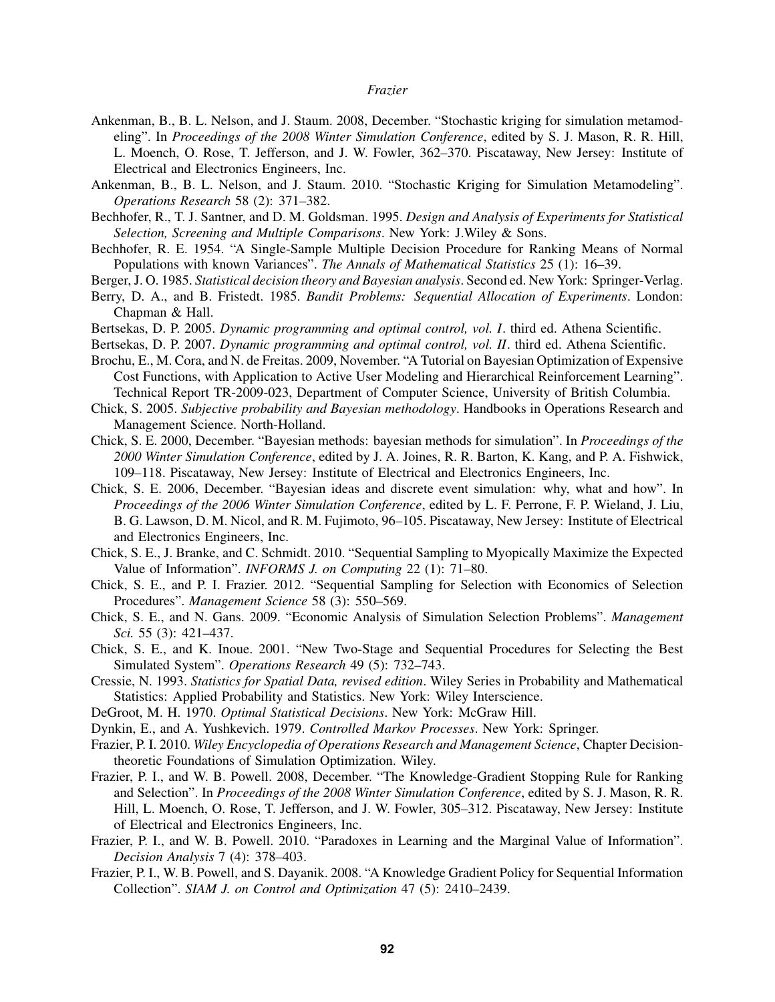- Ankenman, B., B. L. Nelson, and J. Staum. 2008, December. "Stochastic kriging for simulation metamodeling". In *Proceedings of the 2008 Winter Simulation Conference*, edited by S. J. Mason, R. R. Hill, L. Moench, O. Rose, T. Jefferson, and J. W. Fowler, 362–370. Piscataway, New Jersey: Institute of Electrical and Electronics Engineers, Inc.
- Ankenman, B., B. L. Nelson, and J. Staum. 2010. "Stochastic Kriging for Simulation Metamodeling". *Operations Research* 58 (2): 371–382.
- Bechhofer, R., T. J. Santner, and D. M. Goldsman. 1995. *Design and Analysis of Experiments for Statistical Selection, Screening and Multiple Comparisons*. New York: J.Wiley & Sons.
- Bechhofer, R. E. 1954. "A Single-Sample Multiple Decision Procedure for Ranking Means of Normal Populations with known Variances". *The Annals of Mathematical Statistics* 25 (1): 16–39.
- Berger, J. O. 1985. *Statistical decision theory and Bayesian analysis*. Second ed. New York: Springer-Verlag.
- Berry, D. A., and B. Fristedt. 1985. *Bandit Problems: Sequential Allocation of Experiments*. London: Chapman & Hall.
- Bertsekas, D. P. 2005. *Dynamic programming and optimal control, vol. I*. third ed. Athena Scientific.
- Bertsekas, D. P. 2007. *Dynamic programming and optimal control, vol. II*. third ed. Athena Scientific.
- Brochu, E., M. Cora, and N. de Freitas. 2009, November. "A Tutorial on Bayesian Optimization of Expensive Cost Functions, with Application to Active User Modeling and Hierarchical Reinforcement Learning". Technical Report TR-2009-023, Department of Computer Science, University of British Columbia.
- Chick, S. 2005. *Subjective probability and Bayesian methodology*. Handbooks in Operations Research and Management Science. North-Holland.
- Chick, S. E. 2000, December. "Bayesian methods: bayesian methods for simulation". In *Proceedings of the 2000 Winter Simulation Conference*, edited by J. A. Joines, R. R. Barton, K. Kang, and P. A. Fishwick, 109–118. Piscataway, New Jersey: Institute of Electrical and Electronics Engineers, Inc.
- Chick, S. E. 2006, December. "Bayesian ideas and discrete event simulation: why, what and how". In *Proceedings of the 2006 Winter Simulation Conference*, edited by L. F. Perrone, F. P. Wieland, J. Liu, B. G. Lawson, D. M. Nicol, and R. M. Fujimoto, 96–105. Piscataway, New Jersey: Institute of Electrical and Electronics Engineers, Inc.
- Chick, S. E., J. Branke, and C. Schmidt. 2010. "Sequential Sampling to Myopically Maximize the Expected Value of Information". *INFORMS J. on Computing* 22 (1): 71–80.
- Chick, S. E., and P. I. Frazier. 2012. "Sequential Sampling for Selection with Economics of Selection Procedures". *Management Science* 58 (3): 550–569.
- Chick, S. E., and N. Gans. 2009. "Economic Analysis of Simulation Selection Problems". *Management Sci.* 55 (3): 421–437.
- Chick, S. E., and K. Inoue. 2001. "New Two-Stage and Sequential Procedures for Selecting the Best Simulated System". *Operations Research* 49 (5): 732–743.
- Cressie, N. 1993. *Statistics for Spatial Data, revised edition*. Wiley Series in Probability and Mathematical Statistics: Applied Probability and Statistics. New York: Wiley Interscience.
- DeGroot, M. H. 1970. *Optimal Statistical Decisions*. New York: McGraw Hill.
- Dynkin, E., and A. Yushkevich. 1979. *Controlled Markov Processes*. New York: Springer.
- Frazier, P. I. 2010. *Wiley Encyclopedia of Operations Research and Management Science*, Chapter Decisiontheoretic Foundations of Simulation Optimization. Wiley.
- Frazier, P. I., and W. B. Powell. 2008, December. "The Knowledge-Gradient Stopping Rule for Ranking and Selection". In *Proceedings of the 2008 Winter Simulation Conference*, edited by S. J. Mason, R. R. Hill, L. Moench, O. Rose, T. Jefferson, and J. W. Fowler, 305–312. Piscataway, New Jersey: Institute of Electrical and Electronics Engineers, Inc.
- Frazier, P. I., and W. B. Powell. 2010. "Paradoxes in Learning and the Marginal Value of Information". *Decision Analysis* 7 (4): 378–403.
- Frazier, P. I., W. B. Powell, and S. Dayanik. 2008. "A Knowledge Gradient Policy for Sequential Information Collection". *SIAM J. on Control and Optimization* 47 (5): 2410–2439.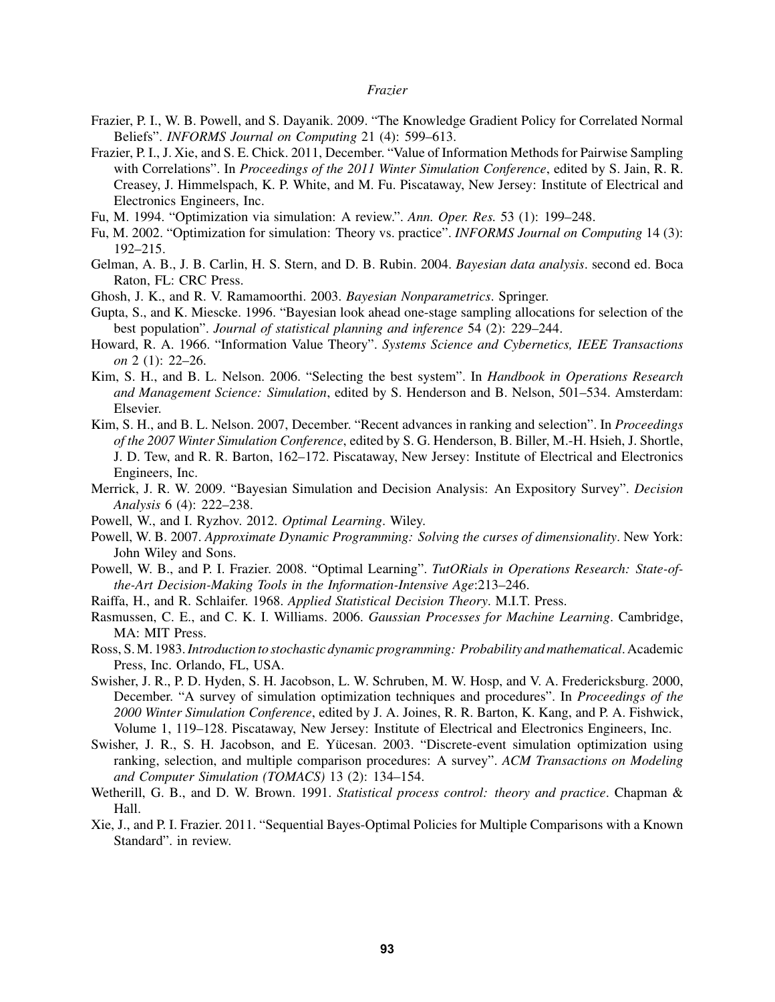- Frazier, P. I., W. B. Powell, and S. Dayanik. 2009. "The Knowledge Gradient Policy for Correlated Normal Beliefs". *INFORMS Journal on Computing* 21 (4): 599–613.
- Frazier, P. I., J. Xie, and S. E. Chick. 2011, December. "Value of Information Methods for Pairwise Sampling with Correlations". In *Proceedings of the 2011 Winter Simulation Conference*, edited by S. Jain, R. R. Creasey, J. Himmelspach, K. P. White, and M. Fu. Piscataway, New Jersey: Institute of Electrical and Electronics Engineers, Inc.
- Fu, M. 1994. "Optimization via simulation: A review.". *Ann. Oper. Res.* 53 (1): 199–248.
- Fu, M. 2002. "Optimization for simulation: Theory vs. practice". *INFORMS Journal on Computing* 14 (3): 192–215.
- Gelman, A. B., J. B. Carlin, H. S. Stern, and D. B. Rubin. 2004. *Bayesian data analysis*. second ed. Boca Raton, FL: CRC Press.
- Ghosh, J. K., and R. V. Ramamoorthi. 2003. *Bayesian Nonparametrics*. Springer.
- Gupta, S., and K. Miescke. 1996. "Bayesian look ahead one-stage sampling allocations for selection of the best population". *Journal of statistical planning and inference* 54 (2): 229–244.
- Howard, R. A. 1966. "Information Value Theory". *Systems Science and Cybernetics, IEEE Transactions on* 2 (1): 22–26.
- Kim, S. H., and B. L. Nelson. 2006. "Selecting the best system". In *Handbook in Operations Research and Management Science: Simulation*, edited by S. Henderson and B. Nelson, 501–534. Amsterdam: Elsevier.
- Kim, S. H., and B. L. Nelson. 2007, December. "Recent advances in ranking and selection". In *Proceedings of the 2007 Winter Simulation Conference*, edited by S. G. Henderson, B. Biller, M.-H. Hsieh, J. Shortle, J. D. Tew, and R. R. Barton, 162–172. Piscataway, New Jersey: Institute of Electrical and Electronics Engineers, Inc.
- Merrick, J. R. W. 2009. "Bayesian Simulation and Decision Analysis: An Expository Survey". *Decision Analysis* 6 (4): 222–238.
- Powell, W., and I. Ryzhov. 2012. *Optimal Learning*. Wiley.
- Powell, W. B. 2007. *Approximate Dynamic Programming: Solving the curses of dimensionality*. New York: John Wiley and Sons.
- Powell, W. B., and P. I. Frazier. 2008. "Optimal Learning". *TutORials in Operations Research: State-ofthe-Art Decision-Making Tools in the Information-Intensive Age*:213–246.
- Raiffa, H., and R. Schlaifer. 1968. *Applied Statistical Decision Theory*. M.I.T. Press.
- Rasmussen, C. E., and C. K. I. Williams. 2006. *Gaussian Processes for Machine Learning*. Cambridge, MA: MIT Press.
- Ross, S.M. 1983.*Introduction to stochastic dynamic programming: Probability and mathematical*. Academic Press, Inc. Orlando, FL, USA.
- Swisher, J. R., P. D. Hyden, S. H. Jacobson, L. W. Schruben, M. W. Hosp, and V. A. Fredericksburg. 2000, December. "A survey of simulation optimization techniques and procedures". In *Proceedings of the 2000 Winter Simulation Conference*, edited by J. A. Joines, R. R. Barton, K. Kang, and P. A. Fishwick, Volume 1, 119–128. Piscataway, New Jersey: Institute of Electrical and Electronics Engineers, Inc.
- Swisher, J. R., S. H. Jacobson, and E. Yücesan. 2003. "Discrete-event simulation optimization using ranking, selection, and multiple comparison procedures: A survey". *ACM Transactions on Modeling and Computer Simulation (TOMACS)* 13 (2): 134–154.
- Wetherill, G. B., and D. W. Brown. 1991. *Statistical process control: theory and practice*. Chapman & Hall.
- Xie, J., and P. I. Frazier. 2011. "Sequential Bayes-Optimal Policies for Multiple Comparisons with a Known Standard". in review.